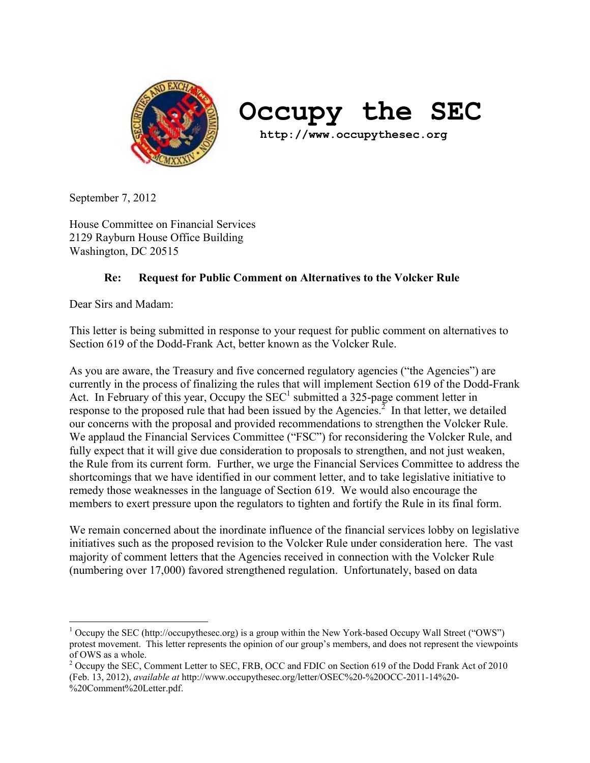

# **Occupy the SEC**

 **http://www.occupythesec.org**

September 7, 2012

House Committee on Financial Services 2129 Rayburn House Office Building Washington, DC 20515

# **Re: Request for Public Comment on Alternatives to the Volcker Rule**

Dear Sirs and Madam:

 $\overline{a}$ 

This letter is being submitted in response to your request for public comment on alternatives to Section 619 of the Dodd-Frank Act, better known as the Volcker Rule.

As you are aware, the Treasury and five concerned regulatory agencies ("the Agencies") are currently in the process of finalizing the rules that will implement Section 619 of the Dodd-Frank Act. In February of this year, Occupy the  $SEC<sup>1</sup>$  submitted a 325-page comment letter in response to the proposed rule that had been issued by the Agencies. $^2$  In that letter, we detailed our concerns with the proposal and provided recommendations to strengthen the Volcker Rule. We applaud the Financial Services Committee ("FSC") for reconsidering the Volcker Rule, and fully expect that it will give due consideration to proposals to strengthen, and not just weaken, the Rule from its current form. Further, we urge the Financial Services Committee to address the shortcomings that we have identified in our comment letter, and to take legislative initiative to remedy those weaknesses in the language of Section 619. We would also encourage the members to exert pressure upon the regulators to tighten and fortify the Rule in its final form.

We remain concerned about the inordinate influence of the financial services lobby on legislative initiatives such as the proposed revision to the Volcker Rule under consideration here. The vast majority of comment letters that the Agencies received in connection with the Volcker Rule (numbering over 17,000) favored strengthened regulation. Unfortunately, based on data

<sup>&</sup>lt;sup>1</sup> Occupy the SEC (http://occupythesec.org) is a group within the New York-based Occupy Wall Street ("OWS") protest movement. This letter represents the opinion of our group's members, and does not represent the viewpoints of OWS as a whole.

<sup>&</sup>lt;sup>2</sup> Occupy the SEC, Comment Letter to SEC, FRB, OCC and FDIC on Section 619 of the Dodd Frank Act of 2010 (Feb. 13, 2012), *available at* http://www.occupythesec.org/letter/OSEC%20-%20OCC-2011-14%20- %20Comment%20Letter.pdf.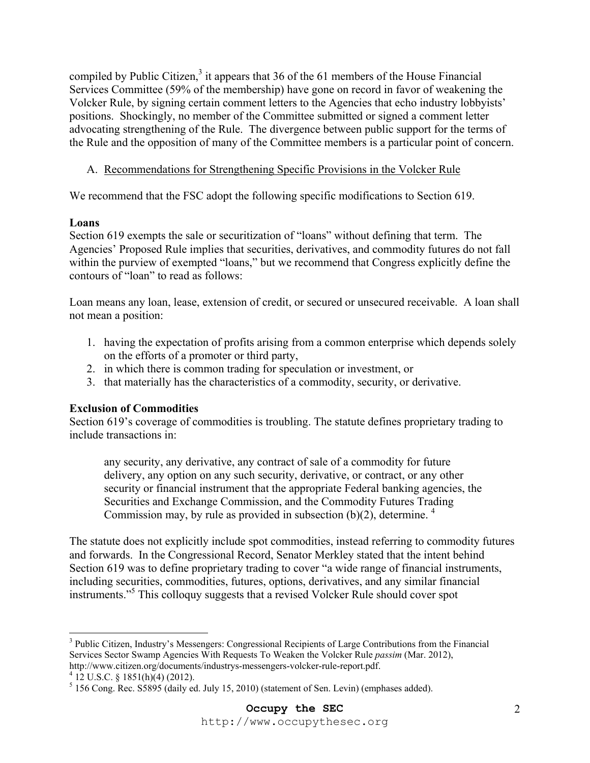compiled by Public Citizen,<sup>3</sup> it appears that 36 of the 61 members of the House Financial Services Committee (59% of the membership) have gone on record in favor of weakening the Volcker Rule, by signing certain comment letters to the Agencies that echo industry lobbyists' positions. Shockingly, no member of the Committee submitted or signed a comment letter advocating strengthening of the Rule. The divergence between public support for the terms of the Rule and the opposition of many of the Committee members is a particular point of concern.

A. Recommendations for Strengthening Specific Provisions in the Volcker Rule

We recommend that the FSC adopt the following specific modifications to Section 619.

## **Loans**

Section 619 exempts the sale or securitization of "loans" without defining that term. The Agencies' Proposed Rule implies that securities, derivatives, and commodity futures do not fall within the purview of exempted "loans," but we recommend that Congress explicitly define the contours of "loan" to read as follows:

Loan means any loan, lease, extension of credit, or secured or unsecured receivable. A loan shall not mean a position:

- 1. having the expectation of profits arising from a common enterprise which depends solely on the efforts of a promoter or third party,
- 2. in which there is common trading for speculation or investment, or
- 3. that materially has the characteristics of a commodity, security, or derivative.

## **Exclusion of Commodities**

Section 619's coverage of commodities is troubling. The statute defines proprietary trading to include transactions in:

any security, any derivative, any contract of sale of a commodity for future delivery, any option on any such security, derivative, or contract, or any other security or financial instrument that the appropriate Federal banking agencies, the Securities and Exchange Commission, and the Commodity Futures Trading Commission may, by rule as provided in subsection  $(b)(2)$ , determine. <sup>4</sup>

The statute does not explicitly include spot commodities, instead referring to commodity futures and forwards. In the Congressional Record, Senator Merkley stated that the intent behind Section 619 was to define proprietary trading to cover "a wide range of financial instruments, including securities, commodities, futures, options, derivatives, and any similar financial instruments."<sup>5</sup> This colloquy suggests that a revised Volcker Rule should cover spot

 $\overline{a}$ 

<sup>&</sup>lt;sup>3</sup> Public Citizen, Industry's Messengers: Congressional Recipients of Large Contributions from the Financial Services Sector Swamp Agencies With Requests To Weaken the Volcker Rule *passim* (Mar. 2012), http://www.citizen.org/documents/industrys-messengers-volcker-rule-report.pdf. 4

 $4$  12 U.S.C. § 1851(h)(4) (2012).

 $<sup>5</sup>$  156 Cong. Rec. S5895 (daily ed. July 15, 2010) (statement of Sen. Levin) (emphases added).</sup>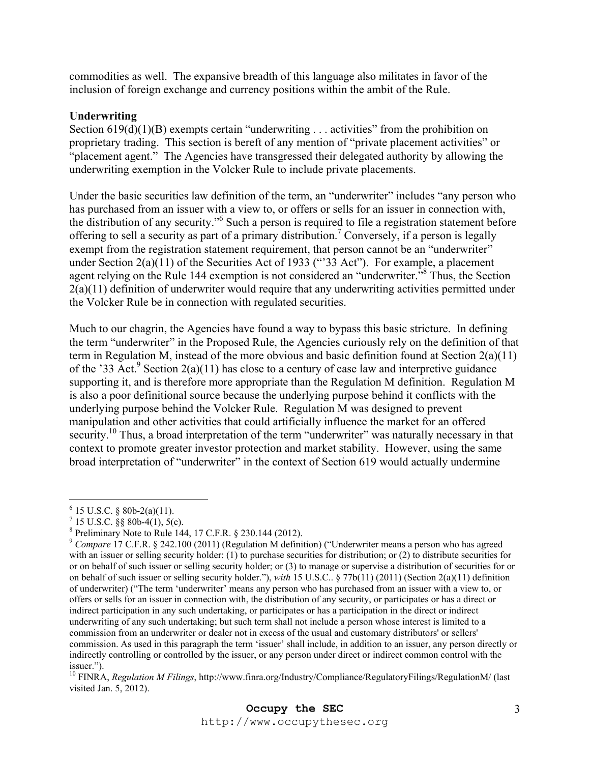commodities as well. The expansive breadth of this language also militates in favor of the inclusion of foreign exchange and currency positions within the ambit of the Rule.

#### **Underwriting**

Section  $619(d)(1)(B)$  exempts certain "underwriting ... activities" from the prohibition on proprietary trading. This section is bereft of any mention of "private placement activities" or "placement agent." The Agencies have transgressed their delegated authority by allowing the underwriting exemption in the Volcker Rule to include private placements.

Under the basic securities law definition of the term, an "underwriter" includes "any person who has purchased from an issuer with a view to, or offers or sells for an issuer in connection with, the distribution of any security."6 Such a person is required to file a registration statement before offering to sell a security as part of a primary distribution.<sup>7</sup> Conversely, if a person is legally exempt from the registration statement requirement, that person cannot be an "underwriter" under Section  $2(a)(11)$  of the Securities Act of 1933 ("33 Act"). For example, a placement agent relying on the Rule 144 exemption is not considered an "underwriter."<sup>8</sup> Thus, the Section 2(a)(11) definition of underwriter would require that any underwriting activities permitted under the Volcker Rule be in connection with regulated securities.

Much to our chagrin, the Agencies have found a way to bypass this basic stricture. In defining the term "underwriter" in the Proposed Rule, the Agencies curiously rely on the definition of that term in Regulation M, instead of the more obvious and basic definition found at Section 2(a)(11) of the '33 Act.<sup>9</sup> Section 2(a)(11) has close to a century of case law and interpretive guidance supporting it, and is therefore more appropriate than the Regulation M definition. Regulation M is also a poor definitional source because the underlying purpose behind it conflicts with the underlying purpose behind the Volcker Rule. Regulation M was designed to prevent manipulation and other activities that could artificially influence the market for an offered security.<sup>10</sup> Thus, a broad interpretation of the term "underwriter" was naturally necessary in that context to promote greater investor protection and market stability. However, using the same broad interpretation of "underwriter" in the context of Section 619 would actually undermine

 $\overline{a}$ 

 $6$  15 U.S.C. § 80b-2(a)(11).

 $^7$  15 U.S.C. §§ 80b-4(1), 5(c).

<sup>&</sup>lt;sup>8</sup> Preliminary Note to Rule 144, 17 C.F.R.  $\S 230.144$  (2012).

<sup>9</sup> *Compare* 17 C.F.R. § 242.100 (2011) (Regulation M definition) ("Underwriter means a person who has agreed with an issuer or selling security holder: (1) to purchase securities for distribution; or (2) to distribute securities for or on behalf of such issuer or selling security holder; or (3) to manage or supervise a distribution of securities for or on behalf of such issuer or selling security holder."), *with* 15 U.S.C.. § 77b(11) (2011) (Section 2(a)(11) definition of underwriter) ("The term 'underwriter' means any person who has purchased from an issuer with a view to, or offers or sells for an issuer in connection with, the distribution of any security, or participates or has a direct or indirect participation in any such undertaking, or participates or has a participation in the direct or indirect underwriting of any such undertaking; but such term shall not include a person whose interest is limited to a commission from an underwriter or dealer not in excess of the usual and customary distributors' or sellers' commission. As used in this paragraph the term 'issuer' shall include, in addition to an issuer, any person directly or indirectly controlling or controlled by the issuer, or any person under direct or indirect common control with the issuer.").

<sup>10</sup> FINRA, *Regulation M Filings*, http://www.finra.org/Industry/Compliance/RegulatoryFilings/RegulationM/ (last visited Jan. 5, 2012).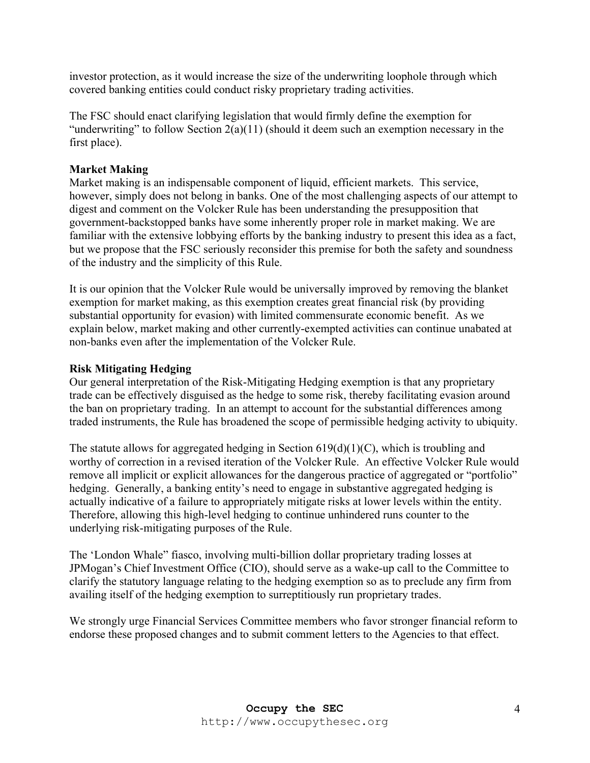investor protection, as it would increase the size of the underwriting loophole through which covered banking entities could conduct risky proprietary trading activities.

The FSC should enact clarifying legislation that would firmly define the exemption for "underwriting" to follow Section  $2(a)(11)$  (should it deem such an exemption necessary in the first place).

#### **Market Making**

Market making is an indispensable component of liquid, efficient markets. This service, however, simply does not belong in banks. One of the most challenging aspects of our attempt to digest and comment on the Volcker Rule has been understanding the presupposition that government-backstopped banks have some inherently proper role in market making. We are familiar with the extensive lobbying efforts by the banking industry to present this idea as a fact, but we propose that the FSC seriously reconsider this premise for both the safety and soundness of the industry and the simplicity of this Rule.

It is our opinion that the Volcker Rule would be universally improved by removing the blanket exemption for market making, as this exemption creates great financial risk (by providing substantial opportunity for evasion) with limited commensurate economic benefit. As we explain below, market making and other currently-exempted activities can continue unabated at non-banks even after the implementation of the Volcker Rule.

#### **Risk Mitigating Hedging**

Our general interpretation of the Risk-Mitigating Hedging exemption is that any proprietary trade can be effectively disguised as the hedge to some risk, thereby facilitating evasion around the ban on proprietary trading. In an attempt to account for the substantial differences among traded instruments, the Rule has broadened the scope of permissible hedging activity to ubiquity.

The statute allows for aggregated hedging in Section  $619(d)(1)(C)$ , which is troubling and worthy of correction in a revised iteration of the Volcker Rule. An effective Volcker Rule would remove all implicit or explicit allowances for the dangerous practice of aggregated or "portfolio" hedging. Generally, a banking entity's need to engage in substantive aggregated hedging is actually indicative of a failure to appropriately mitigate risks at lower levels within the entity. Therefore, allowing this high-level hedging to continue unhindered runs counter to the underlying risk-mitigating purposes of the Rule.

The 'London Whale" fiasco, involving multi-billion dollar proprietary trading losses at JPMogan's Chief Investment Office (CIO), should serve as a wake-up call to the Committee to clarify the statutory language relating to the hedging exemption so as to preclude any firm from availing itself of the hedging exemption to surreptitiously run proprietary trades.

We strongly urge Financial Services Committee members who favor stronger financial reform to endorse these proposed changes and to submit comment letters to the Agencies to that effect.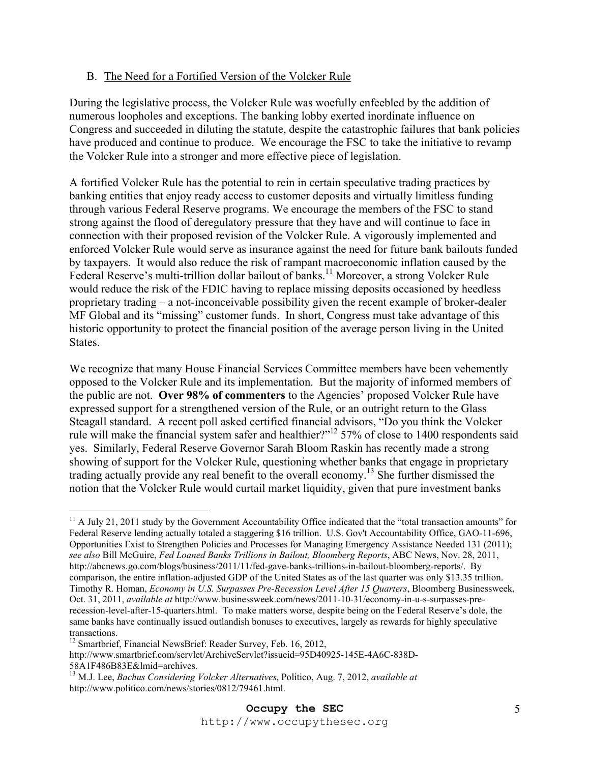## B. The Need for a Fortified Version of the Volcker Rule

During the legislative process, the Volcker Rule was woefully enfeebled by the addition of numerous loopholes and exceptions. The banking lobby exerted inordinate influence on Congress and succeeded in diluting the statute, despite the catastrophic failures that bank policies have produced and continue to produce. We encourage the FSC to take the initiative to revamp the Volcker Rule into a stronger and more effective piece of legislation.

A fortified Volcker Rule has the potential to rein in certain speculative trading practices by banking entities that enjoy ready access to customer deposits and virtually limitless funding through various Federal Reserve programs. We encourage the members of the FSC to stand strong against the flood of deregulatory pressure that they have and will continue to face in connection with their proposed revision of the Volcker Rule. A vigorously implemented and enforced Volcker Rule would serve as insurance against the need for future bank bailouts funded by taxpayers. It would also reduce the risk of rampant macroeconomic inflation caused by the Federal Reserve's multi-trillion dollar bailout of banks.<sup>11</sup> Moreover, a strong Volcker Rule would reduce the risk of the FDIC having to replace missing deposits occasioned by heedless proprietary trading – a not-inconceivable possibility given the recent example of broker-dealer MF Global and its "missing" customer funds. In short, Congress must take advantage of this historic opportunity to protect the financial position of the average person living in the United States.

We recognize that many House Financial Services Committee members have been vehemently opposed to the Volcker Rule and its implementation. But the majority of informed members of the public are not. **Over 98% of commenters** to the Agencies' proposed Volcker Rule have expressed support for a strengthened version of the Rule, or an outright return to the Glass Steagall standard. A recent poll asked certified financial advisors, "Do you think the Volcker rule will make the financial system safer and healthier?"12 57% of close to 1400 respondents said yes. Similarly, Federal Reserve Governor Sarah Bloom Raskin has recently made a strong showing of support for the Volcker Rule, questioning whether banks that engage in proprietary trading actually provide any real benefit to the overall economy.13 She further dismissed the notion that the Volcker Rule would curtail market liquidity, given that pure investment banks

 $\overline{a}$ 

 $11$  A July 21, 2011 study by the Government Accountability Office indicated that the "total transaction amounts" for Federal Reserve lending actually totaled a staggering \$16 trillion. U.S. Gov't Accountability Office, GAO-11-696, Opportunities Exist to Strengthen Policies and Processes for Managing Emergency Assistance Needed 131 (2011); *see also* Bill McGuire, *Fed Loaned Banks Trillions in Bailout, Bloomberg Reports*, ABC News, Nov. 28, 2011, http://abcnews.go.com/blogs/business/2011/11/fed-gave-banks-trillions-in-bailout-bloomberg-reports/. By comparison, the entire inflation-adjusted GDP of the United States as of the last quarter was only \$13.35 trillion. Timothy R. Homan, *Economy in U.S. Surpasses Pre-Recession Level After 15 Quarters*, Bloomberg Businessweek, Oct. 31, 2011, *available at* http://www.businessweek.com/news/2011-10-31/economy-in-u-s-surpasses-prerecession-level-after-15-quarters.html. To make matters worse, despite being on the Federal Reserve's dole, the same banks have continually issued outlandish bonuses to executives, largely as rewards for highly speculative transactions.

<sup>&</sup>lt;sup>12</sup> Smartbrief, Financial NewsBrief: Reader Survey, Feb. 16, 2012,

http://www.smartbrief.com/servlet/ArchiveServlet?issueid=95D40925-145E-4A6C-838D-58A1F486B83E&lmid=archives.

<sup>13</sup> M.J. Lee, *Bachus Considering Volcker Alternatives*, Politico, Aug. 7, 2012, *available at* http://www.politico.com/news/stories/0812/79461.html.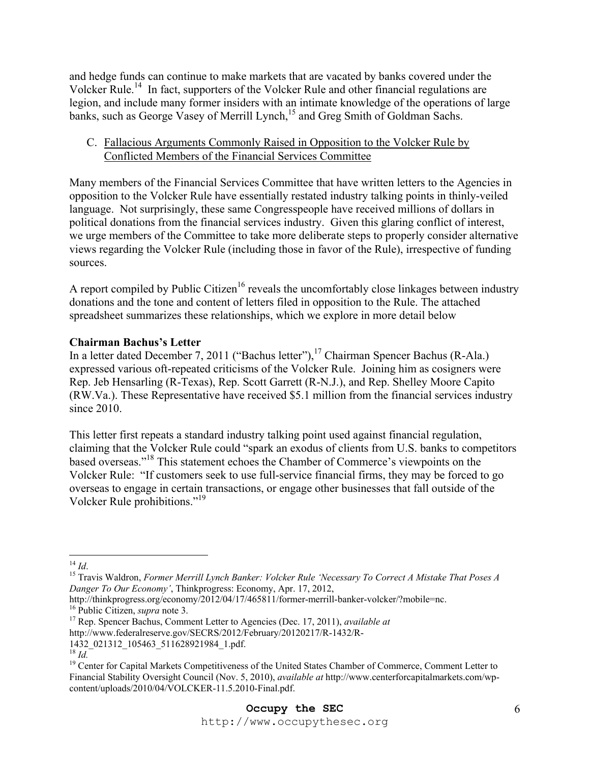and hedge funds can continue to make markets that are vacated by banks covered under the Volcker Rule.14 In fact, supporters of the Volcker Rule and other financial regulations are legion, and include many former insiders with an intimate knowledge of the operations of large banks, such as George Vasey of Merrill Lynch,<sup>15</sup> and Greg Smith of Goldman Sachs.

## C. Fallacious Arguments Commonly Raised in Opposition to the Volcker Rule by Conflicted Members of the Financial Services Committee

Many members of the Financial Services Committee that have written letters to the Agencies in opposition to the Volcker Rule have essentially restated industry talking points in thinly-veiled language. Not surprisingly, these same Congresspeople have received millions of dollars in political donations from the financial services industry. Given this glaring conflict of interest, we urge members of the Committee to take more deliberate steps to properly consider alternative views regarding the Volcker Rule (including those in favor of the Rule), irrespective of funding sources.

A report compiled by Public Citizen<sup>16</sup> reveals the uncomfortably close linkages between industry donations and the tone and content of letters filed in opposition to the Rule. The attached spreadsheet summarizes these relationships, which we explore in more detail below

## **Chairman Bachus's Letter**

In a letter dated December 7, 2011 ("Bachus letter"),<sup>17</sup> Chairman Spencer Bachus (R-Ala.) expressed various oft-repeated criticisms of the Volcker Rule. Joining him as cosigners were Rep. Jeb Hensarling (R-Texas), Rep. Scott Garrett (R-N.J.), and Rep. Shelley Moore Capito (RW.Va.). These Representative have received \$5.1 million from the financial services industry since 2010.

This letter first repeats a standard industry talking point used against financial regulation, claiming that the Volcker Rule could "spark an exodus of clients from U.S. banks to competitors based overseas."18 This statement echoes the Chamber of Commerce's viewpoints on the Volcker Rule: "If customers seek to use full-service financial firms, they may be forced to go overseas to engage in certain transactions, or engage other businesses that fall outside of the Volcker Rule prohibitions."19

 $14 \,$  Id.

<sup>&</sup>lt;sup>15</sup> Travis Waldron, *Former Merrill Lynch Banker: Volcker Rule 'Necessary To Correct A Mistake That Poses A Danger To Our Economy'*, Thinkprogress: Economy, Apr. 17, 2012,

<sup>&</sup>lt;sup>16</sup> Public Citizen, *supra* note 3.<br><sup>17</sup> Rep. Spencer Bachus, Comment Letter to Agencies (Dec. 17, 2011), *available at* 

http://www.federalreserve.gov/SECRS/2012/February/20120217/R-1432/R-

<sup>1432</sup>\_021312\_105463\_511628921984\_1.pdf.<br><sup>18</sup> Id

<sup>&</sup>lt;sup>19</sup> Center for Capital Markets Competitiveness of the United States Chamber of Commerce, Comment Letter to Financial Stability Oversight Council (Nov. 5, 2010), *available at* http://www.centerforcapitalmarkets.com/wpcontent/uploads/2010/04/VOLCKER-11.5.2010-Final.pdf.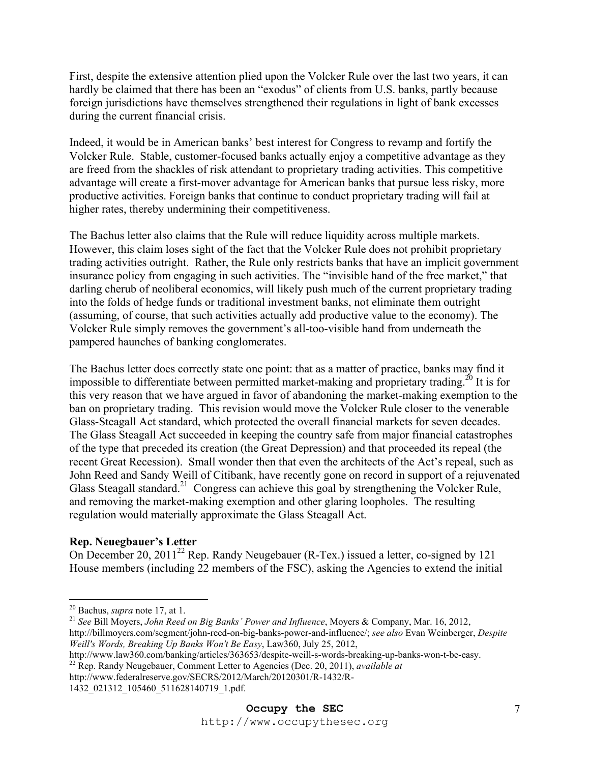First, despite the extensive attention plied upon the Volcker Rule over the last two years, it can hardly be claimed that there has been an "exodus" of clients from U.S. banks, partly because foreign jurisdictions have themselves strengthened their regulations in light of bank excesses during the current financial crisis.

Indeed, it would be in American banks' best interest for Congress to revamp and fortify the Volcker Rule. Stable, customer-focused banks actually enjoy a competitive advantage as they are freed from the shackles of risk attendant to proprietary trading activities. This competitive advantage will create a first-mover advantage for American banks that pursue less risky, more productive activities. Foreign banks that continue to conduct proprietary trading will fail at higher rates, thereby undermining their competitiveness.

The Bachus letter also claims that the Rule will reduce liquidity across multiple markets. However, this claim loses sight of the fact that the Volcker Rule does not prohibit proprietary trading activities outright. Rather, the Rule only restricts banks that have an implicit government insurance policy from engaging in such activities. The "invisible hand of the free market," that darling cherub of neoliberal economics, will likely push much of the current proprietary trading into the folds of hedge funds or traditional investment banks, not eliminate them outright (assuming, of course, that such activities actually add productive value to the economy). The Volcker Rule simply removes the government's all-too-visible hand from underneath the pampered haunches of banking conglomerates.

The Bachus letter does correctly state one point: that as a matter of practice, banks may find it impossible to differentiate between permitted market-making and proprietary trading.<sup>20</sup> It is for this very reason that we have argued in favor of abandoning the market-making exemption to the ban on proprietary trading. This revision would move the Volcker Rule closer to the venerable Glass-Steagall Act standard, which protected the overall financial markets for seven decades. The Glass Steagall Act succeeded in keeping the country safe from major financial catastrophes of the type that preceded its creation (the Great Depression) and that proceeded its repeal (the recent Great Recession). Small wonder then that even the architects of the Act's repeal, such as John Reed and Sandy Weill of Citibank, have recently gone on record in support of a rejuvenated Glass Steagall standard.<sup>21</sup> Congress can achieve this goal by strengthening the Volcker Rule, and removing the market-making exemption and other glaring loopholes. The resulting regulation would materially approximate the Glass Steagall Act.

## **Rep. Neuegbauer's Letter**

On December 20, 2011<sup>22</sup> Rep. Randy Neugebauer (R-Tex.) issued a letter, co-signed by 121 House members (including 22 members of the FSC), asking the Agencies to extend the initial

 $20$  Bachus, *supra* note 17, at 1.

<sup>&</sup>lt;sup>21</sup> See Bill Moyers, *John Reed on Big Banks' Power and Influence*, Moyers & Company, Mar. 16, 2012, http://billmoyers.com/segment/john-reed-on-big-banks-power-and-influence/; *see also* Evan Weinberger, *Despite Weill's Words, Breaking Up Banks Won't Be Easy*, Law360, July 25, 2012,

<sup>&</sup>lt;sup>22</sup> Rep. Randy Neugebauer, Comment Letter to Agencies (Dec. 20, 2011), *available at* 

http://www.federalreserve.gov/SECRS/2012/March/20120301/R-1432/R-

<sup>1432</sup>\_021312\_105460\_511628140719\_1.pdf.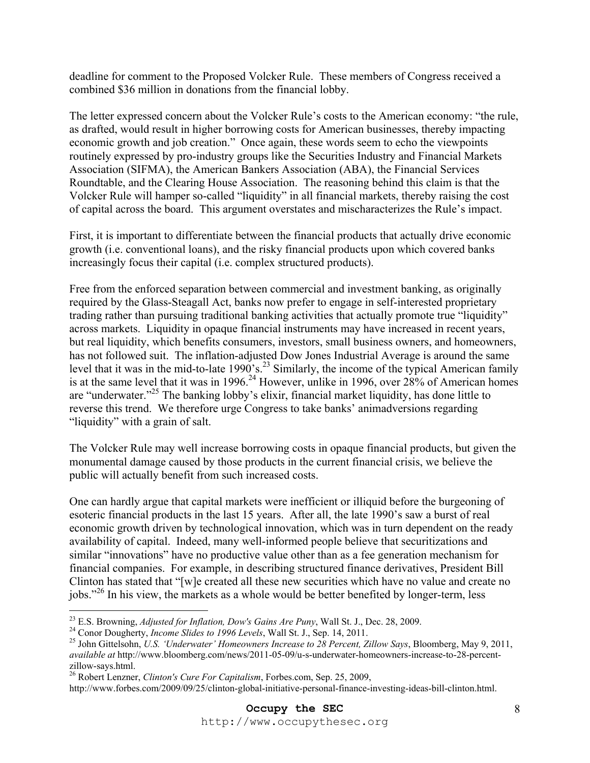deadline for comment to the Proposed Volcker Rule. These members of Congress received a combined \$36 million in donations from the financial lobby.

The letter expressed concern about the Volcker Rule's costs to the American economy: "the rule, as drafted, would result in higher borrowing costs for American businesses, thereby impacting economic growth and job creation." Once again, these words seem to echo the viewpoints routinely expressed by pro-industry groups like the Securities Industry and Financial Markets Association (SIFMA), the American Bankers Association (ABA), the Financial Services Roundtable, and the Clearing House Association. The reasoning behind this claim is that the Volcker Rule will hamper so-called "liquidity" in all financial markets, thereby raising the cost of capital across the board. This argument overstates and mischaracterizes the Rule's impact.

First, it is important to differentiate between the financial products that actually drive economic growth (i.e. conventional loans), and the risky financial products upon which covered banks increasingly focus their capital (i.e. complex structured products).

Free from the enforced separation between commercial and investment banking, as originally required by the Glass-Steagall Act, banks now prefer to engage in self-interested proprietary trading rather than pursuing traditional banking activities that actually promote true "liquidity" across markets. Liquidity in opaque financial instruments may have increased in recent years, but real liquidity, which benefits consumers, investors, small business owners, and homeowners, has not followed suit. The inflation-adjusted Dow Jones Industrial Average is around the same level that it was in the mid-to-late 1990's.<sup>23</sup> Similarly, the income of the typical American family is at the same level that it was in 1996.<sup>24</sup> However, unlike in 1996, over  $28\%$  of American homes are "underwater."<sup>25</sup> The banking lobby's elixir, financial market liquidity, has done little to reverse this trend. We therefore urge Congress to take banks' animadversions regarding "liquidity" with a grain of salt.

The Volcker Rule may well increase borrowing costs in opaque financial products, but given the monumental damage caused by those products in the current financial crisis, we believe the public will actually benefit from such increased costs.

One can hardly argue that capital markets were inefficient or illiquid before the burgeoning of esoteric financial products in the last 15 years. After all, the late 1990's saw a burst of real economic growth driven by technological innovation, which was in turn dependent on the ready availability of capital. Indeed, many well-informed people believe that securitizations and similar "innovations" have no productive value other than as a fee generation mechanism for financial companies. For example, in describing structured finance derivatives, President Bill Clinton has stated that "[w]e created all these new securities which have no value and create no jobs."26 In his view, the markets as a whole would be better benefited by longer-term, less

<sup>&</sup>lt;sup>23</sup> E.S. Browning, *Adjusted for Inflation, Dow's Gains Are Puny*, Wall St. J., Dec. 28, 2009.

<sup>&</sup>lt;sup>24</sup> Conor Dougherty, *Income Slides to 1996 Levels*, Wall St. J., Sep. 14, 2011.<br><sup>25</sup> John Gittelsohn, *U.S. 'Underwater' Homeowners Increase to 28 Percent, Zillow Says*, Bloomberg, May 9, 2011, *available at* http://www.bloomberg.com/news/2011-05-09/u-s-underwater-homeowners-increase-to-28-percentzillow-says.html.

<sup>26</sup> Robert Lenzner, *Clinton's Cure For Capitalism*, Forbes.com, Sep. 25, 2009,

http://www.forbes.com/2009/09/25/clinton-global-initiative-personal-finance-investing-ideas-bill-clinton.html.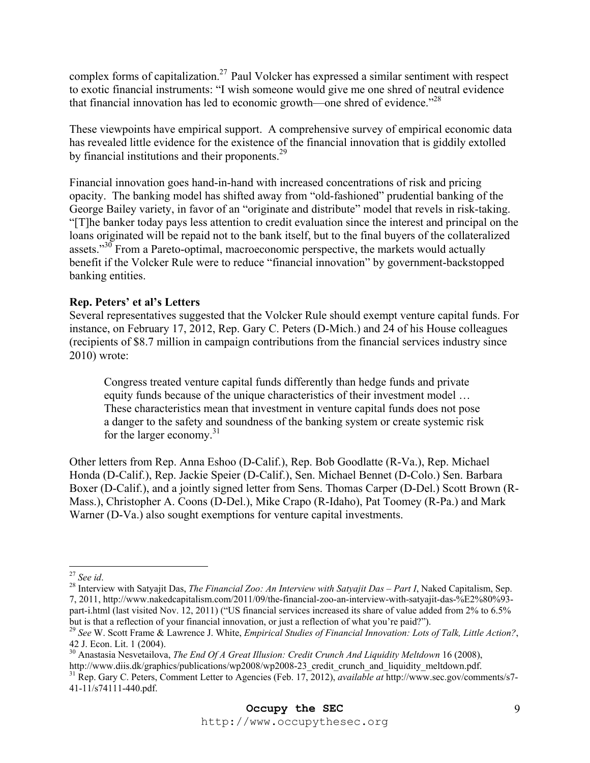complex forms of capitalization.<sup>27</sup> Paul Volcker has expressed a similar sentiment with respect to exotic financial instruments: "I wish someone would give me one shred of neutral evidence that financial innovation has led to economic growth—one shred of evidence."28

These viewpoints have empirical support. A comprehensive survey of empirical economic data has revealed little evidence for the existence of the financial innovation that is giddily extolled by financial institutions and their proponents.<sup>29</sup>

Financial innovation goes hand-in-hand with increased concentrations of risk and pricing opacity. The banking model has shifted away from "old-fashioned" prudential banking of the George Bailey variety, in favor of an "originate and distribute" model that revels in risk-taking. "[T]he banker today pays less attention to credit evaluation since the interest and principal on the loans originated will be repaid not to the bank itself, but to the final buyers of the collateralized assets."<sup>30</sup> From a Pareto-optimal, macroeconomic perspective, the markets would actually benefit if the Volcker Rule were to reduce "financial innovation" by government-backstopped banking entities.

## **Rep. Peters' et al's Letters**

Several representatives suggested that the Volcker Rule should exempt venture capital funds. For instance, on February 17, 2012, Rep. Gary C. Peters (D-Mich.) and 24 of his House colleagues (recipients of \$8.7 million in campaign contributions from the financial services industry since 2010) wrote:

Congress treated venture capital funds differently than hedge funds and private equity funds because of the unique characteristics of their investment model … These characteristics mean that investment in venture capital funds does not pose a danger to the safety and soundness of the banking system or create systemic risk for the larger economy.<sup>31</sup>

Other letters from Rep. Anna Eshoo (D-Calif.), Rep. Bob Goodlatte (R-Va.), Rep. Michael Honda (D-Calif.), Rep. Jackie Speier (D-Calif.), Sen. Michael Bennet (D-Colo.) Sen. Barbara Boxer (D-Calif.), and a jointly signed letter from Sens. Thomas Carper (D-Del.) Scott Brown (R-Mass.), Christopher A. Coons (D-Del.), Mike Crapo (R-Idaho), Pat Toomey (R-Pa.) and Mark Warner (D-Va.) also sought exemptions for venture capital investments.

 $27$  See id.

<sup>&</sup>lt;sup>28</sup> Interview with Satyajit Das, *The Financial Zoo: An Interview with Satyajit Das – Part I*, Naked Capitalism, Sep. 7, 2011, http://www.nakedcapitalism.com/2011/09/the-financial-zoo-an-interview-with-satyajit-das-%E2%80%93 part-i.html (last visited Nov. 12, 2011) ("US financial services increased its share of value added from 2% to 6.5% but is that a reflection of your financial innovation, or just a reflection of what you're paid?").

<sup>29</sup> *See* W. Scott Frame & Lawrence J. White, *Empirical Studies of Financial Innovation: Lots of Talk, Little Action?*, 42 J. Econ. Lit. 1 (2004).

<sup>&</sup>lt;sup>30</sup> Anastasia Nesvetailova, *The End Of A Great Illusion: Credit Crunch And Liquidity Meltdown* 16 (2008), http://www.diis.dk/graphics/publications/wp2008/wp2008-23\_credit\_crunch\_and\_liquidity\_meltdown.pdf. 31 Rep. Gary C. Peters, Comment Letter to Agencies (Feb. 17, 2012), *available at* http://www.sec.gov/comments/s7- 41-11/s74111-440.pdf.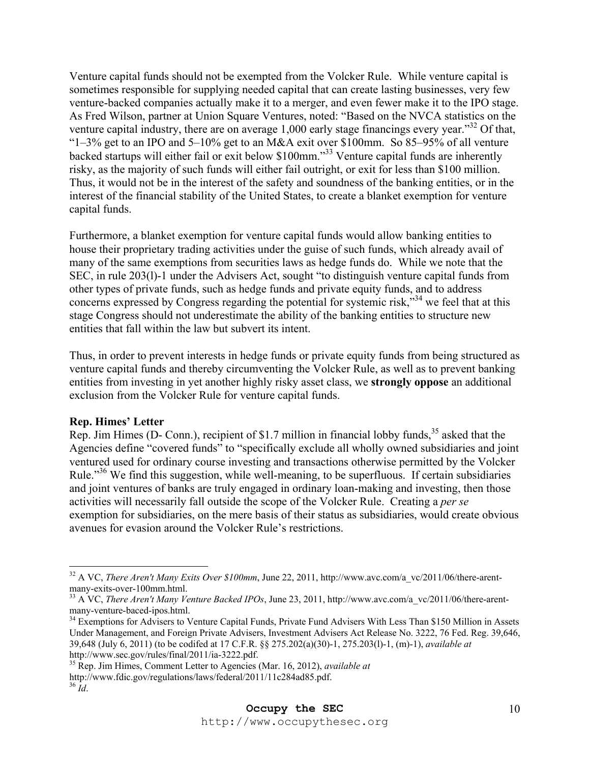Venture capital funds should not be exempted from the Volcker Rule. While venture capital is sometimes responsible for supplying needed capital that can create lasting businesses, very few venture-backed companies actually make it to a merger, and even fewer make it to the IPO stage. As Fred Wilson, partner at Union Square Ventures, noted: "Based on the NVCA statistics on the venture capital industry, there are on average 1,000 early stage financings every year."<sup>32</sup> Of that, "1–3% get to an IPO and 5–10% get to an M&A exit over \$100mm. So 85–95% of all venture backed startups will either fail or exit below \$100mm."33 Venture capital funds are inherently risky, as the majority of such funds will either fail outright, or exit for less than \$100 million. Thus, it would not be in the interest of the safety and soundness of the banking entities, or in the interest of the financial stability of the United States, to create a blanket exemption for venture capital funds.

Furthermore, a blanket exemption for venture capital funds would allow banking entities to house their proprietary trading activities under the guise of such funds, which already avail of many of the same exemptions from securities laws as hedge funds do. While we note that the SEC, in rule 203(l)-1 under the Advisers Act, sought "to distinguish venture capital funds from other types of private funds, such as hedge funds and private equity funds, and to address concerns expressed by Congress regarding the potential for systemic risk,"<sup>34</sup> we feel that at this stage Congress should not underestimate the ability of the banking entities to structure new entities that fall within the law but subvert its intent.

Thus, in order to prevent interests in hedge funds or private equity funds from being structured as venture capital funds and thereby circumventing the Volcker Rule, as well as to prevent banking entities from investing in yet another highly risky asset class, we **strongly oppose** an additional exclusion from the Volcker Rule for venture capital funds.

#### **Rep. Himes' Letter**

Rep. Jim Himes (D- Conn.), recipient of \$1.7 million in financial lobby funds,<sup>35</sup> asked that the Agencies define "covered funds" to "specifically exclude all wholly owned subsidiaries and joint ventured used for ordinary course investing and transactions otherwise permitted by the Volcker Rule."<sup>36</sup> We find this suggestion, while well-meaning, to be superfluous. If certain subsidiaries and joint ventures of banks are truly engaged in ordinary loan-making and investing, then those activities will necessarily fall outside the scope of the Volcker Rule. Creating a *per se* exemption for subsidiaries, on the mere basis of their status as subsidiaries, would create obvious avenues for evasion around the Volcker Rule's restrictions.

35 Rep. Jim Himes, Comment Letter to Agencies (Mar. 16, 2012), *available at* http://www.fdic.gov/regulations/laws/federal/2011/11c284ad85.pdf. 36 *Id*.

<sup>1</sup> <sup>32</sup> A VC, *There Aren't Many Exits Over \$100mm*, June 22, 2011, http://www.avc.com/a\_vc/2011/06/there-arentmany-exits-over-100mm.html.

<sup>33</sup> A VC, *There Aren't Many Venture Backed IPOs*, June 23, 2011, http://www.avc.com/a\_vc/2011/06/there-arentmany-venture-baced-ipos.html.

<sup>&</sup>lt;sup>34</sup> Exemptions for Advisers to Venture Capital Funds, Private Fund Advisers With Less Than \$150 Million in Assets Under Management, and Foreign Private Advisers, Investment Advisers Act Release No. 3222, 76 Fed. Reg. 39,646, 39,648 (July 6, 2011) (to be codifed at 17 C.F.R. §§ 275.202(a)(30)-1, 275.203(l)-1, (m)-1), *available at* http://www.sec.gov/rules/final/2011/ia-3222.pdf.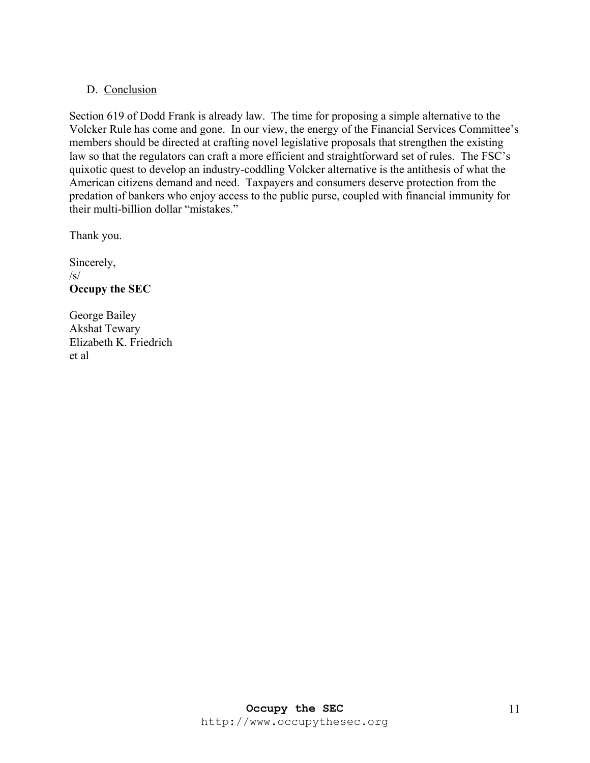## D. Conclusion

Section 619 of Dodd Frank is already law. The time for proposing a simple alternative to the Volcker Rule has come and gone. In our view, the energy of the Financial Services Committee's members should be directed at crafting novel legislative proposals that strengthen the existing law so that the regulators can craft a more efficient and straightforward set of rules. The FSC's quixotic quest to develop an industry-coddling Volcker alternative is the antithesis of what the American citizens demand and need. Taxpayers and consumers deserve protection from the predation of bankers who enjoy access to the public purse, coupled with financial immunity for their multi-billion dollar "mistakes."

Thank you.

Sincerely,  $\sqrt{s}$ **Occupy the SEC**

George Bailey Akshat Tewary Elizabeth K. Friedrich et al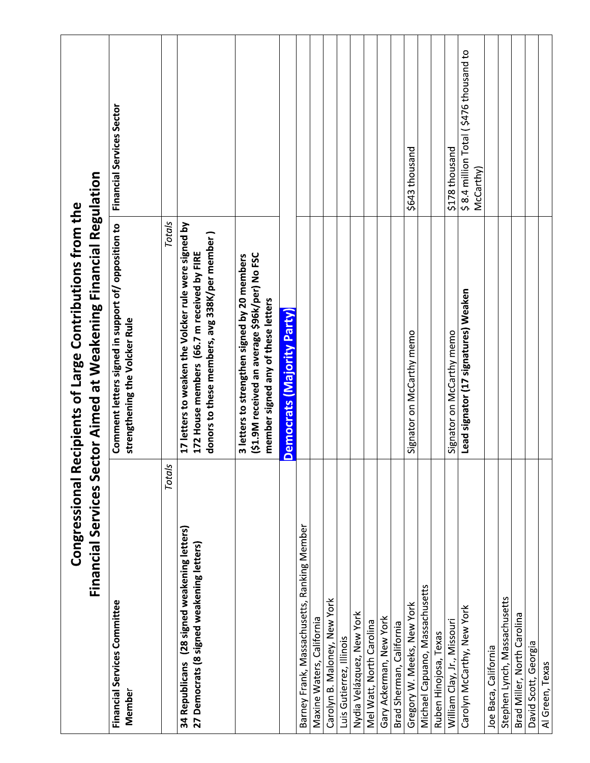| <b>Congressional R</b><br>Financial Services Se                                           | ctor Aimed at Weakening Financial Regulation<br>lecipients of Large Contributions from the                                                          |                                                     |
|-------------------------------------------------------------------------------------------|-----------------------------------------------------------------------------------------------------------------------------------------------------|-----------------------------------------------------|
| Financial Services Committee<br>Member                                                    | Comment letters signed in support of/ opposition to<br>strengthening the Volcker Rule                                                               | <b>Financial Services Sector</b>                    |
| Totals                                                                                    | Totals                                                                                                                                              |                                                     |
| 34 Republicans (28 signed weakening letters)<br>27 Democrats (8 signed weakening letters) | 17 letters to weaken the Volcker rule were signed by<br>donors to these members, avg 338K/per member)<br>172 House members (66.7 m received by FIRE |                                                     |
|                                                                                           | (\$1.9M received an average \$96k/per) No FSC<br>3 letters to strengthen signed by 20 members<br>member signed any of these letters                 |                                                     |
|                                                                                           | <b>Democrats (Majority Party)</b>                                                                                                                   |                                                     |
| Barney Frank, Massachusetts, Ranking Member                                               |                                                                                                                                                     |                                                     |
| Maxine Waters, California                                                                 |                                                                                                                                                     |                                                     |
| Carolyn B. Maloney, New York                                                              |                                                                                                                                                     |                                                     |
| Luis Gutierrez, Illinois                                                                  |                                                                                                                                                     |                                                     |
| Nydia Velázquez, New York                                                                 |                                                                                                                                                     |                                                     |
| Mel Watt, North Carolina                                                                  |                                                                                                                                                     |                                                     |
| Gary Ackerman, New York                                                                   |                                                                                                                                                     |                                                     |
| Brad Sherman, California                                                                  |                                                                                                                                                     |                                                     |
| Gregory W. Meeks, New York                                                                | Signator on McCarthy memo                                                                                                                           | \$643 thousand                                      |
| Michael Capuano, Massachusetts                                                            |                                                                                                                                                     |                                                     |
| Ruben Hinojosa, Texas                                                                     |                                                                                                                                                     |                                                     |
| William Clay, Jr., Missouri                                                               | Signator on McCarthy memo                                                                                                                           | \$178 thousand                                      |
| Carolyn McCarthy, New York                                                                | Lead signator (17 signatures) Weaken                                                                                                                | \$8.4 million Total (\$476 thousand to<br>McCarthy) |
| Joe Baca, California                                                                      |                                                                                                                                                     |                                                     |
| Stephen Lynch, Massachusetts                                                              |                                                                                                                                                     |                                                     |
| Brad Miller, North Carolina                                                               |                                                                                                                                                     |                                                     |
| David Scott, Georgia                                                                      |                                                                                                                                                     |                                                     |
| Al Green, Texas                                                                           |                                                                                                                                                     |                                                     |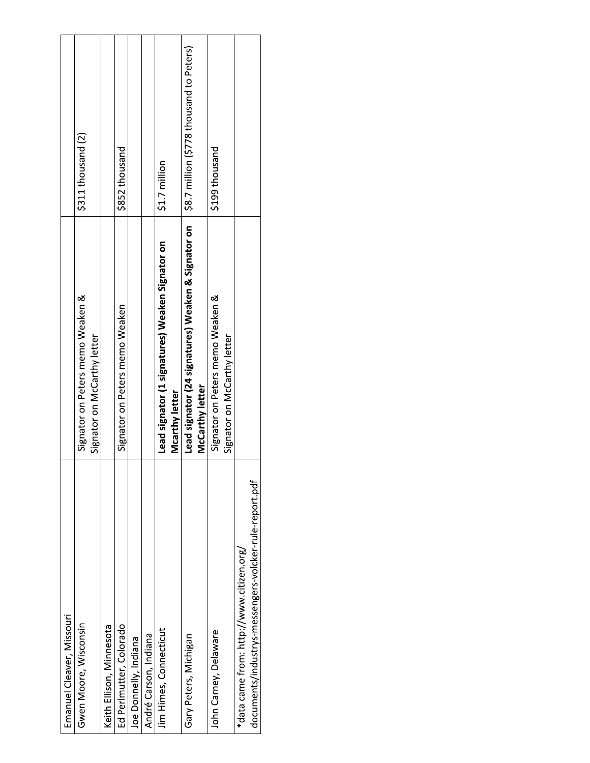| Emanuel Cleaver, Missouri                                                                          |                                                                       |                                          |
|----------------------------------------------------------------------------------------------------|-----------------------------------------------------------------------|------------------------------------------|
| Gwen Moore, Wisconsin                                                                              | memo Weaken &<br>Signator on Peters                                   | \$311 thousand (2)                       |
|                                                                                                    | Signator on McCarthy letter                                           |                                          |
| Keith Ellison, Minnesota                                                                           |                                                                       |                                          |
| Ed Perlmutter, Colorado                                                                            | Signator on Peters memo Weaken                                        | \$852 thousand                           |
| Joe Donnelly, Indiana                                                                              |                                                                       |                                          |
| André Carson, Indiana                                                                              |                                                                       |                                          |
| Jim Himes, Connecticut                                                                             | Lead signator (1 signatures) Weaken Signator on<br>Mcarthy letter     | \$1.7 million                            |
| Gary Peters, Michigan                                                                              | Lead signator (24 signatures) Weaken & Signator on<br>McCarthy letter | \$8.7 million (\$778 thousand to Peters) |
| John Carney, Delaware                                                                              | memo Weaken &<br>Signator on McCarthy letter<br>Signator on Peters    | \$199 thousand                           |
| documents/industrys-messengers-volcker-rule-report.pdf<br>*data came from: http://www.citizen.org/ |                                                                       |                                          |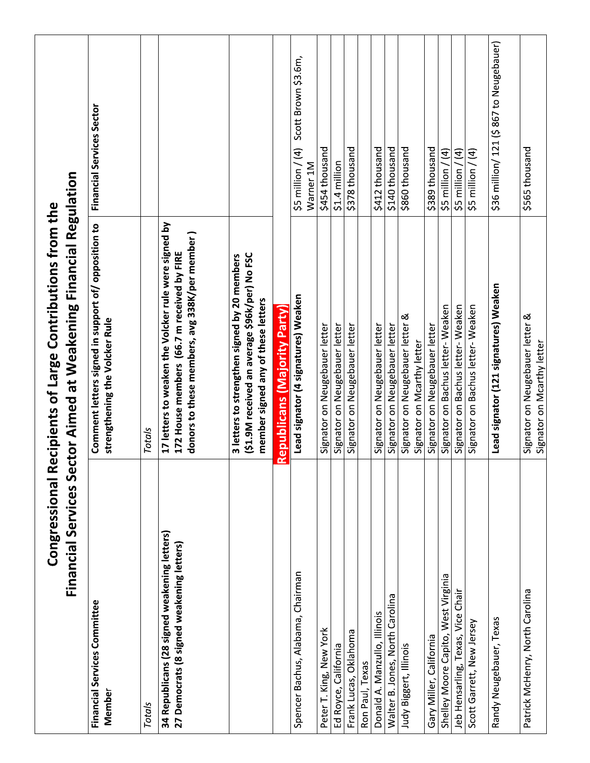|                                                                                           | Financial Services Sector Aimed at Weakening Financial Regulation<br>Congressional Recipients of Large Contributions from the                       |                                                    |
|-------------------------------------------------------------------------------------------|-----------------------------------------------------------------------------------------------------------------------------------------------------|----------------------------------------------------|
| Financial Services Committee<br>Member                                                    | Comment letters signed in support of/ opposition to<br>strengthening the Volcker Rule                                                               | Financial Services Sector                          |
| Totals                                                                                    | Totals                                                                                                                                              |                                                    |
| 34 Republicans (28 signed weakening letters)<br>27 Democrats (8 signed weakening letters) | 17 letters to weaken the Volcker rule were signed by<br>donors to these members, avg 338K/per member)<br>172 House members (66.7 m received by FIRE |                                                    |
|                                                                                           | (\$1.9M received an average \$96k/per) No FSC<br>3 letters to strengthen signed by 20 members<br>member signed any of these letters                 |                                                    |
|                                                                                           | <b>Republicans (Majority Party</b>                                                                                                                  |                                                    |
| Spencer Bachus, Alabama, Chairman                                                         | Lead signator (4 signatures) Weaken                                                                                                                 | \$5 million / (4) Scott Brown \$3.6m,<br>Warner 1M |
| Peter T. King, New York                                                                   | Signator on Neugebauer letter                                                                                                                       | \$454 thousand                                     |
| Ed Royce, California                                                                      | Signator on Neugebauer letter                                                                                                                       | \$1.4 million                                      |
| Frank Lucas, Oklahoma                                                                     | Signator on Neugebauer letter                                                                                                                       | \$378 thousand                                     |
| Ron Paul, Texas                                                                           |                                                                                                                                                     |                                                    |
| Donald A. Manzullo, Illinois                                                              | Signator on Neugebauer letter                                                                                                                       | \$412 thousand                                     |
| Walter B. Jones, North Carolina                                                           | Signator on Neugebauer letter                                                                                                                       | \$140 thousand                                     |
| Judy Biggert, Illinois                                                                    | Signator on Neugebauer letter &<br>Signator on Mcarthy letter                                                                                       | \$860 thousand                                     |
| California<br>Gary Miller,                                                                | Signator on Neugebauer letter                                                                                                                       | \$389 thousand                                     |
| Shelley Moore Capito, West Virginia                                                       | Signator on Bachus letter- Weaken                                                                                                                   | $\widehat{a}$<br>\$5 million                       |
| Chair<br>Vice<br>leb Hensarling, Texas,                                                   | Signator on Bachus letter- Weaken                                                                                                                   | $\widehat{a}$<br>million<br>\$5                    |
| Scott Garrett, New Jersey                                                                 | Signator on Bachus letter- Weaken                                                                                                                   | $$5$ million / (4)                                 |
| Randy Neugebauer, Texas                                                                   | Lead signator (121 signatures) Weaken                                                                                                               | \$36 million/ 121 (\$867 to Neugebauer)            |
| Patrick McHenry, North Carolina                                                           | Signator on Neugebauer letter &<br>Signator on Mcarthy letter                                                                                       | \$565 thousand                                     |